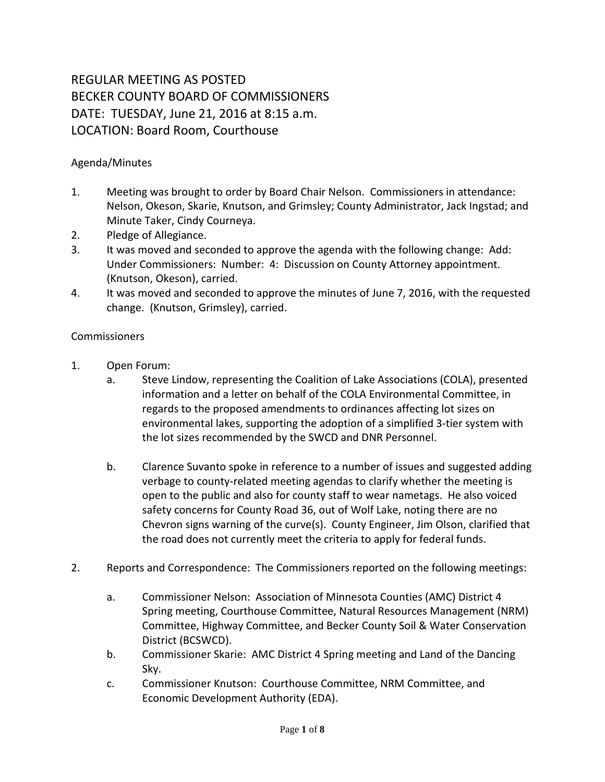## REGULAR MEETING AS POSTED BECKER COUNTY BOARD OF COMMISSIONERS DATE: TUESDAY, June 21, 2016 at 8:15 a.m. LOCATION: Board Room, Courthouse

## Agenda/Minutes

- 1. Meeting was brought to order by Board Chair Nelson. Commissioners in attendance: Nelson, Okeson, Skarie, Knutson, and Grimsley; County Administrator, Jack Ingstad; and Minute Taker, Cindy Courneya.
- 2. Pledge of Allegiance.
- 3. It was moved and seconded to approve the agenda with the following change: Add: Under Commissioners: Number: 4: Discussion on County Attorney appointment. (Knutson, Okeson), carried.
- 4. It was moved and seconded to approve the minutes of June 7, 2016, with the requested change. (Knutson, Grimsley), carried.

## **Commissioners**

- 1. Open Forum:
	- a. Steve Lindow, representing the Coalition of Lake Associations (COLA), presented information and a letter on behalf of the COLA Environmental Committee, in regards to the proposed amendments to ordinances affecting lot sizes on environmental lakes, supporting the adoption of a simplified 3-tier system with the lot sizes recommended by the SWCD and DNR Personnel.
	- b. Clarence Suvanto spoke in reference to a number of issues and suggested adding verbage to county-related meeting agendas to clarify whether the meeting is open to the public and also for county staff to wear nametags. He also voiced safety concerns for County Road 36, out of Wolf Lake, noting there are no Chevron signs warning of the curve(s). County Engineer, Jim Olson, clarified that the road does not currently meet the criteria to apply for federal funds.
- 2. Reports and Correspondence: The Commissioners reported on the following meetings:
	- a. Commissioner Nelson: Association of Minnesota Counties (AMC) District 4 Spring meeting, Courthouse Committee, Natural Resources Management (NRM) Committee, Highway Committee, and Becker County Soil & Water Conservation District (BCSWCD).
	- b. Commissioner Skarie: AMC District 4 Spring meeting and Land of the Dancing Sky.
	- c. Commissioner Knutson: Courthouse Committee, NRM Committee, and Economic Development Authority (EDA).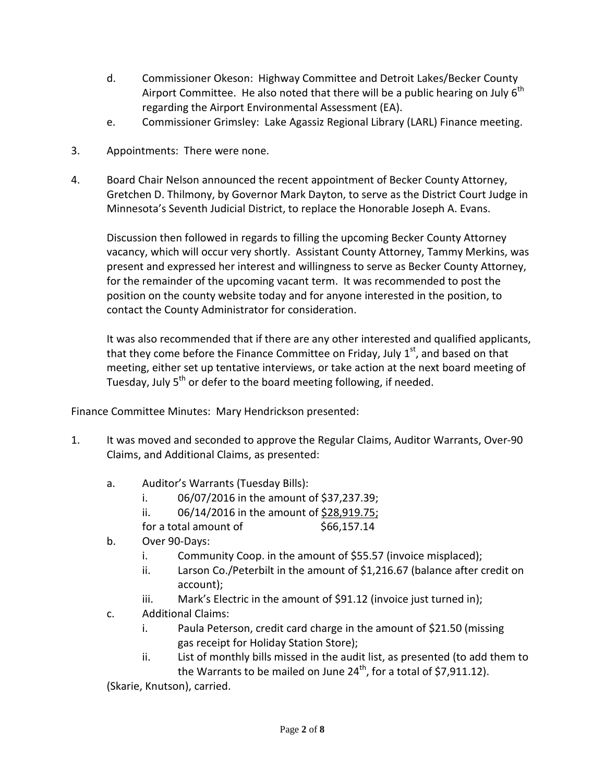- d. Commissioner Okeson: Highway Committee and Detroit Lakes/Becker County Airport Committee. He also noted that there will be a public hearing on July  $6<sup>th</sup>$ regarding the Airport Environmental Assessment (EA).
- e. Commissioner Grimsley: Lake Agassiz Regional Library (LARL) Finance meeting.
- 3. Appointments: There were none.
- 4. Board Chair Nelson announced the recent appointment of Becker County Attorney, Gretchen D. Thilmony, by Governor Mark Dayton, to serve as the District Court Judge in Minnesota's Seventh Judicial District, to replace the Honorable Joseph A. Evans.

Discussion then followed in regards to filling the upcoming Becker County Attorney vacancy, which will occur very shortly. Assistant County Attorney, Tammy Merkins, was present and expressed her interest and willingness to serve as Becker County Attorney, for the remainder of the upcoming vacant term. It was recommended to post the position on the county website today and for anyone interested in the position, to contact the County Administrator for consideration.

It was also recommended that if there are any other interested and qualified applicants, that they come before the Finance Committee on Friday, July  $1<sup>st</sup>$ , and based on that meeting, either set up tentative interviews, or take action at the next board meeting of Tuesday, July 5<sup>th</sup> or defer to the board meeting following, if needed.

Finance Committee Minutes: Mary Hendrickson presented:

- 1. It was moved and seconded to approve the Regular Claims, Auditor Warrants, Over-90 Claims, and Additional Claims, as presented:
	- a. Auditor's Warrants (Tuesday Bills):
		- i. 06/07/2016 in the amount of \$37,237.39;
		- ii. 06/14/2016 in the amount of \$28,919.75;
		- $for a total amount of$  \$66,157.14
	- b. Over 90-Days:
		- i. Community Coop. in the amount of \$55.57 (invoice misplaced);
		- ii. Larson Co./Peterbilt in the amount of \$1,216.67 (balance after credit on account);
		- iii. Mark's Electric in the amount of \$91.12 (invoice just turned in);
	- c. Additional Claims:
		- i. Paula Peterson, credit card charge in the amount of \$21.50 (missing gas receipt for Holiday Station Store);
		- ii. List of monthly bills missed in the audit list, as presented (to add them to the Warrants to be mailed on June  $24^{th}$ , for a total of \$7,911.12).

(Skarie, Knutson), carried.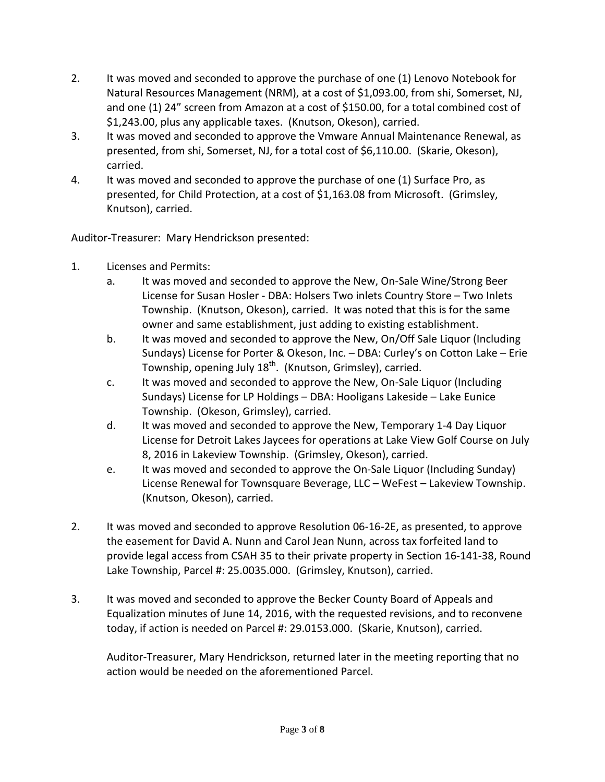- 2. It was moved and seconded to approve the purchase of one (1) Lenovo Notebook for Natural Resources Management (NRM), at a cost of \$1,093.00, from shi, Somerset, NJ, and one (1) 24" screen from Amazon at a cost of \$150.00, for a total combined cost of \$1,243.00, plus any applicable taxes. (Knutson, Okeson), carried.
- 3. It was moved and seconded to approve the Vmware Annual Maintenance Renewal, as presented, from shi, Somerset, NJ, for a total cost of \$6,110.00. (Skarie, Okeson), carried.
- 4. It was moved and seconded to approve the purchase of one (1) Surface Pro, as presented, for Child Protection, at a cost of \$1,163.08 from Microsoft. (Grimsley, Knutson), carried.

Auditor-Treasurer: Mary Hendrickson presented:

- 1. Licenses and Permits:
	- a. It was moved and seconded to approve the New, On-Sale Wine/Strong Beer License for Susan Hosler - DBA: Holsers Two inlets Country Store – Two Inlets Township. (Knutson, Okeson), carried. It was noted that this is for the same owner and same establishment, just adding to existing establishment.
	- b. It was moved and seconded to approve the New, On/Off Sale Liquor (Including Sundays) License for Porter & Okeson, Inc. – DBA: Curley's on Cotton Lake – Erie Township, opening July 18<sup>th</sup>. (Knutson, Grimsley), carried.
	- c. It was moved and seconded to approve the New, On-Sale Liquor (Including Sundays) License for LP Holdings – DBA: Hooligans Lakeside – Lake Eunice Township. (Okeson, Grimsley), carried.
	- d. It was moved and seconded to approve the New, Temporary 1-4 Day Liquor License for Detroit Lakes Jaycees for operations at Lake View Golf Course on July 8, 2016 in Lakeview Township. (Grimsley, Okeson), carried.
	- e. It was moved and seconded to approve the On-Sale Liquor (Including Sunday) License Renewal for Townsquare Beverage, LLC – WeFest – Lakeview Township. (Knutson, Okeson), carried.
- 2. It was moved and seconded to approve Resolution 06-16-2E, as presented, to approve the easement for David A. Nunn and Carol Jean Nunn, across tax forfeited land to provide legal access from CSAH 35 to their private property in Section 16-141-38, Round Lake Township, Parcel #: 25.0035.000. (Grimsley, Knutson), carried.
- 3. It was moved and seconded to approve the Becker County Board of Appeals and Equalization minutes of June 14, 2016, with the requested revisions, and to reconvene today, if action is needed on Parcel #: 29.0153.000. (Skarie, Knutson), carried.

Auditor-Treasurer, Mary Hendrickson, returned later in the meeting reporting that no action would be needed on the aforementioned Parcel.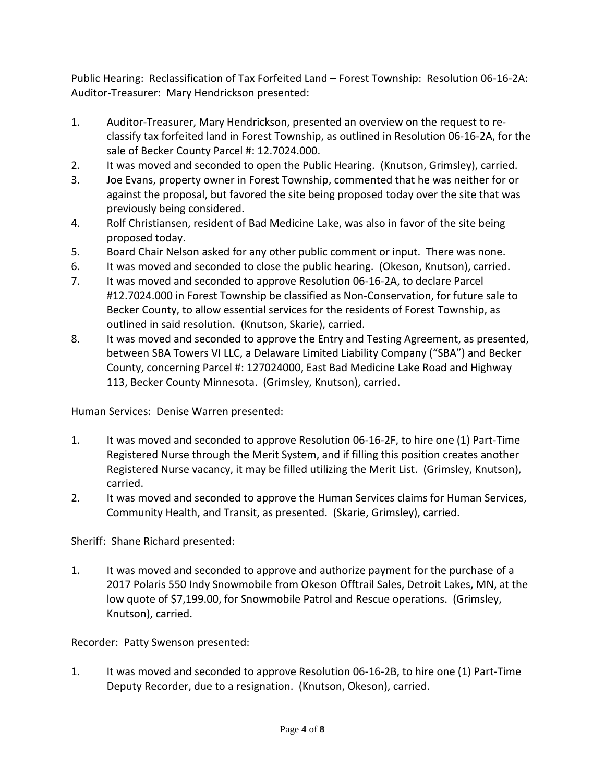Public Hearing: Reclassification of Tax Forfeited Land – Forest Township: Resolution 06-16-2A: Auditor-Treasurer: Mary Hendrickson presented:

- 1. Auditor-Treasurer, Mary Hendrickson, presented an overview on the request to reclassify tax forfeited land in Forest Township, as outlined in Resolution 06-16-2A, for the sale of Becker County Parcel #: 12.7024.000.
- 2. It was moved and seconded to open the Public Hearing. (Knutson, Grimsley), carried.
- 3. Joe Evans, property owner in Forest Township, commented that he was neither for or against the proposal, but favored the site being proposed today over the site that was previously being considered.
- 4. Rolf Christiansen, resident of Bad Medicine Lake, was also in favor of the site being proposed today.
- 5. Board Chair Nelson asked for any other public comment or input. There was none.
- 6. It was moved and seconded to close the public hearing. (Okeson, Knutson), carried.
- 7. It was moved and seconded to approve Resolution 06-16-2A, to declare Parcel #12.7024.000 in Forest Township be classified as Non-Conservation, for future sale to Becker County, to allow essential services for the residents of Forest Township, as outlined in said resolution. (Knutson, Skarie), carried.
- 8. It was moved and seconded to approve the Entry and Testing Agreement, as presented, between SBA Towers VI LLC, a Delaware Limited Liability Company ("SBA") and Becker County, concerning Parcel #: 127024000, East Bad Medicine Lake Road and Highway 113, Becker County Minnesota. (Grimsley, Knutson), carried.

Human Services: Denise Warren presented:

- 1. It was moved and seconded to approve Resolution 06-16-2F, to hire one (1) Part-Time Registered Nurse through the Merit System, and if filling this position creates another Registered Nurse vacancy, it may be filled utilizing the Merit List. (Grimsley, Knutson), carried.
- 2. It was moved and seconded to approve the Human Services claims for Human Services, Community Health, and Transit, as presented. (Skarie, Grimsley), carried.

Sheriff: Shane Richard presented:

1. It was moved and seconded to approve and authorize payment for the purchase of a 2017 Polaris 550 Indy Snowmobile from Okeson Offtrail Sales, Detroit Lakes, MN, at the low quote of \$7,199.00, for Snowmobile Patrol and Rescue operations. (Grimsley, Knutson), carried.

Recorder: Patty Swenson presented:

1. It was moved and seconded to approve Resolution 06-16-2B, to hire one (1) Part-Time Deputy Recorder, due to a resignation. (Knutson, Okeson), carried.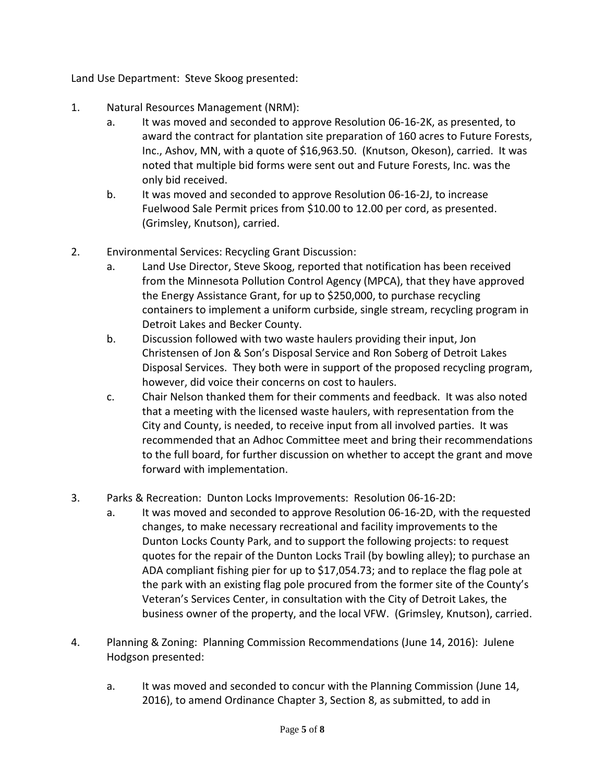Land Use Department: Steve Skoog presented:

- 1. Natural Resources Management (NRM):
	- a. It was moved and seconded to approve Resolution 06-16-2K, as presented, to award the contract for plantation site preparation of 160 acres to Future Forests, Inc., Ashov, MN, with a quote of \$16,963.50. (Knutson, Okeson), carried. It was noted that multiple bid forms were sent out and Future Forests, Inc. was the only bid received.
	- b. It was moved and seconded to approve Resolution 06-16-2J, to increase Fuelwood Sale Permit prices from \$10.00 to 12.00 per cord, as presented. (Grimsley, Knutson), carried.
- 2. Environmental Services: Recycling Grant Discussion:
	- a. Land Use Director, Steve Skoog, reported that notification has been received from the Minnesota Pollution Control Agency (MPCA), that they have approved the Energy Assistance Grant, for up to \$250,000, to purchase recycling containers to implement a uniform curbside, single stream, recycling program in Detroit Lakes and Becker County.
	- b. Discussion followed with two waste haulers providing their input, Jon Christensen of Jon & Son's Disposal Service and Ron Soberg of Detroit Lakes Disposal Services. They both were in support of the proposed recycling program, however, did voice their concerns on cost to haulers.
	- c. Chair Nelson thanked them for their comments and feedback. It was also noted that a meeting with the licensed waste haulers, with representation from the City and County, is needed, to receive input from all involved parties. It was recommended that an Adhoc Committee meet and bring their recommendations to the full board, for further discussion on whether to accept the grant and move forward with implementation.
- 3. Parks & Recreation: Dunton Locks Improvements: Resolution 06-16-2D:
	- a. It was moved and seconded to approve Resolution 06-16-2D, with the requested changes, to make necessary recreational and facility improvements to the Dunton Locks County Park, and to support the following projects: to request quotes for the repair of the Dunton Locks Trail (by bowling alley); to purchase an ADA compliant fishing pier for up to \$17,054.73; and to replace the flag pole at the park with an existing flag pole procured from the former site of the County's Veteran's Services Center, in consultation with the City of Detroit Lakes, the business owner of the property, and the local VFW. (Grimsley, Knutson), carried.
- 4. Planning & Zoning: Planning Commission Recommendations (June 14, 2016): Julene Hodgson presented:
	- a. It was moved and seconded to concur with the Planning Commission (June 14, 2016), to amend Ordinance Chapter 3, Section 8, as submitted, to add in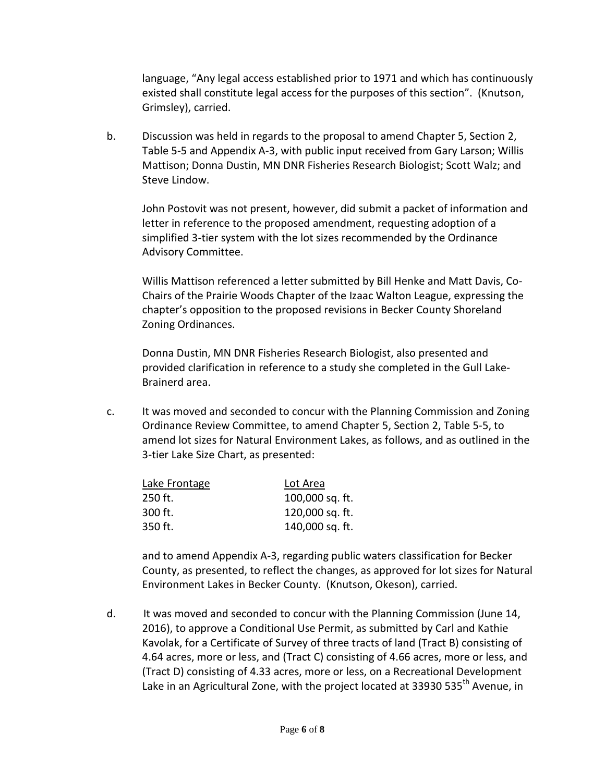language, "Any legal access established prior to 1971 and which has continuously existed shall constitute legal access for the purposes of this section". (Knutson, Grimsley), carried.

b. Discussion was held in regards to the proposal to amend Chapter 5, Section 2, Table 5-5 and Appendix A-3, with public input received from Gary Larson; Willis Mattison; Donna Dustin, MN DNR Fisheries Research Biologist; Scott Walz; and Steve Lindow.

John Postovit was not present, however, did submit a packet of information and letter in reference to the proposed amendment, requesting adoption of a simplified 3-tier system with the lot sizes recommended by the Ordinance Advisory Committee.

Willis Mattison referenced a letter submitted by Bill Henke and Matt Davis, Co-Chairs of the Prairie Woods Chapter of the Izaac Walton League, expressing the chapter's opposition to the proposed revisions in Becker County Shoreland Zoning Ordinances.

Donna Dustin, MN DNR Fisheries Research Biologist, also presented and provided clarification in reference to a study she completed in the Gull Lake-Brainerd area.

c. It was moved and seconded to concur with the Planning Commission and Zoning Ordinance Review Committee, to amend Chapter 5, Section 2, Table 5-5, to amend lot sizes for Natural Environment Lakes, as follows, and as outlined in the 3-tier Lake Size Chart, as presented:

| Lake Frontage | Lot Area        |
|---------------|-----------------|
| $250$ ft.     | 100,000 sq. ft. |
| $300$ ft.     | 120,000 sq. ft. |
| $350$ ft.     | 140,000 sq. ft. |

and to amend Appendix A-3, regarding public waters classification for Becker County, as presented, to reflect the changes, as approved for lot sizes for Natural Environment Lakes in Becker County. (Knutson, Okeson), carried.

d. It was moved and seconded to concur with the Planning Commission (June 14, 2016), to approve a Conditional Use Permit, as submitted by Carl and Kathie Kavolak, for a Certificate of Survey of three tracts of land (Tract B) consisting of 4.64 acres, more or less, and (Tract C) consisting of 4.66 acres, more or less, and (Tract D) consisting of 4.33 acres, more or less, on a Recreational Development Lake in an Agricultural Zone, with the project located at 33930 535<sup>th</sup> Avenue, in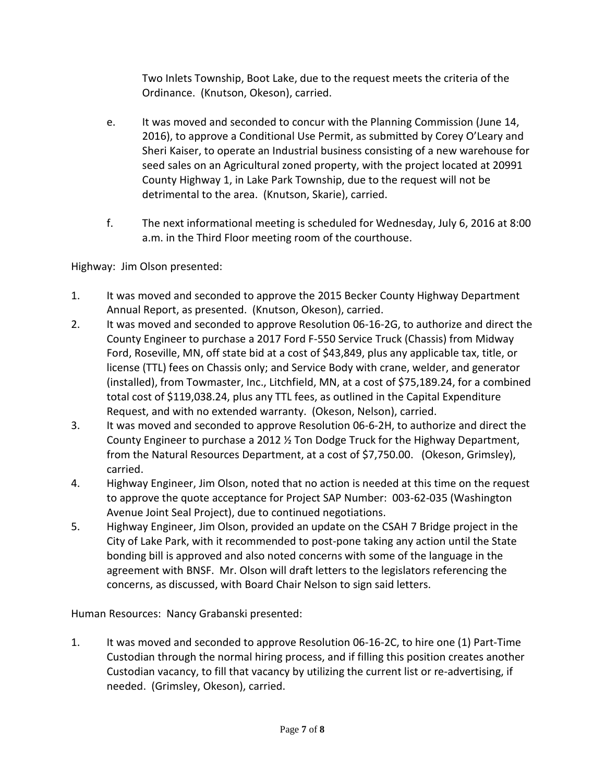Two Inlets Township, Boot Lake, due to the request meets the criteria of the Ordinance. (Knutson, Okeson), carried.

- e. It was moved and seconded to concur with the Planning Commission (June 14, 2016), to approve a Conditional Use Permit, as submitted by Corey O'Leary and Sheri Kaiser, to operate an Industrial business consisting of a new warehouse for seed sales on an Agricultural zoned property, with the project located at 20991 County Highway 1, in Lake Park Township, due to the request will not be detrimental to the area. (Knutson, Skarie), carried.
- f. The next informational meeting is scheduled for Wednesday, July 6, 2016 at 8:00 a.m. in the Third Floor meeting room of the courthouse.

Highway: Jim Olson presented:

- 1. It was moved and seconded to approve the 2015 Becker County Highway Department Annual Report, as presented. (Knutson, Okeson), carried.
- 2. It was moved and seconded to approve Resolution 06-16-2G, to authorize and direct the County Engineer to purchase a 2017 Ford F-550 Service Truck (Chassis) from Midway Ford, Roseville, MN, off state bid at a cost of \$43,849, plus any applicable tax, title, or license (TTL) fees on Chassis only; and Service Body with crane, welder, and generator (installed), from Towmaster, Inc., Litchfield, MN, at a cost of \$75,189.24, for a combined total cost of \$119,038.24, plus any TTL fees, as outlined in the Capital Expenditure Request, and with no extended warranty. (Okeson, Nelson), carried.
- 3. It was moved and seconded to approve Resolution 06-6-2H, to authorize and direct the County Engineer to purchase a 2012 ½ Ton Dodge Truck for the Highway Department, from the Natural Resources Department, at a cost of \$7,750.00. (Okeson, Grimsley), carried.
- 4. Highway Engineer, Jim Olson, noted that no action is needed at this time on the request to approve the quote acceptance for Project SAP Number: 003-62-035 (Washington Avenue Joint Seal Project), due to continued negotiations.
- 5. Highway Engineer, Jim Olson, provided an update on the CSAH 7 Bridge project in the City of Lake Park, with it recommended to post-pone taking any action until the State bonding bill is approved and also noted concerns with some of the language in the agreement with BNSF. Mr. Olson will draft letters to the legislators referencing the concerns, as discussed, with Board Chair Nelson to sign said letters.

Human Resources: Nancy Grabanski presented:

1. It was moved and seconded to approve Resolution 06-16-2C, to hire one (1) Part-Time Custodian through the normal hiring process, and if filling this position creates another Custodian vacancy, to fill that vacancy by utilizing the current list or re-advertising, if needed. (Grimsley, Okeson), carried.